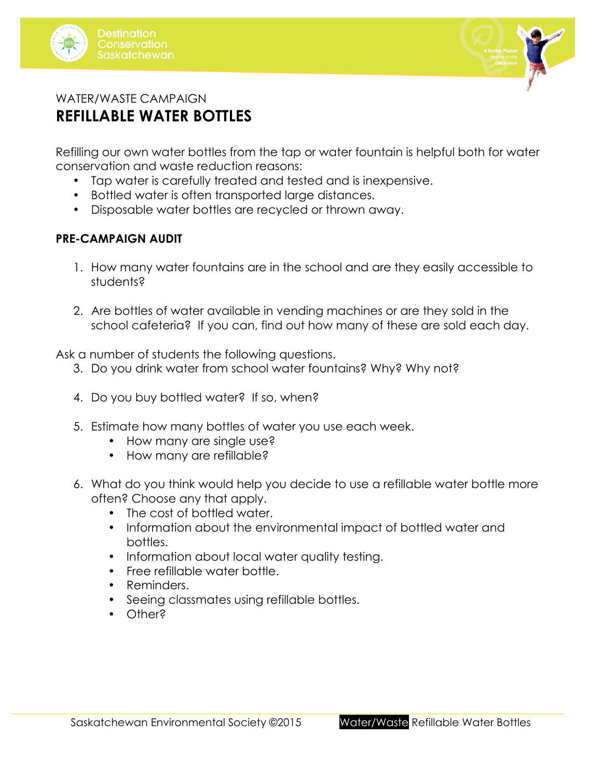



# WATER/WASTE CAMPAIGN **REFILLABLE WATER BOTTLES**

Refilling our own water bottles from the tap or water fountain is helpful both for water conservation and waste reduction reasons:

- Tap water is carefully treated and tested and is inexpensive.
- Bottled water is often transported large distances.
- Disposable water bottles are recycled or thrown away.

### **PRE-CAMPAIGN AUDIT**

- 1. How many water fountains are in the school and are they easily accessible to students?
- 2. Are bottles of water available in vending machines or are they sold in the school cafeteria? If you can, find out how many of these are sold each day.

Ask a number of students the following questions.

- 3. Do you drink water from school water fountains? Why? Why not?
- 4. Do you buy bottled water? If so, when?
- 5. Estimate how many bottles of water you use each week.
	- How many are single use?
	- How many are refillable?
- 6. What do you think would help you decide to use a refillable water bottle more often? Choose any that apply.
	- The cost of bottled water.
	- Information about the environmental impact of bottled water and bottles.
	- Information about local water quality testing.
	- Free refillable water bottle.
	- Reminders.
	- Seeing classmates using refillable bottles.
	- Other?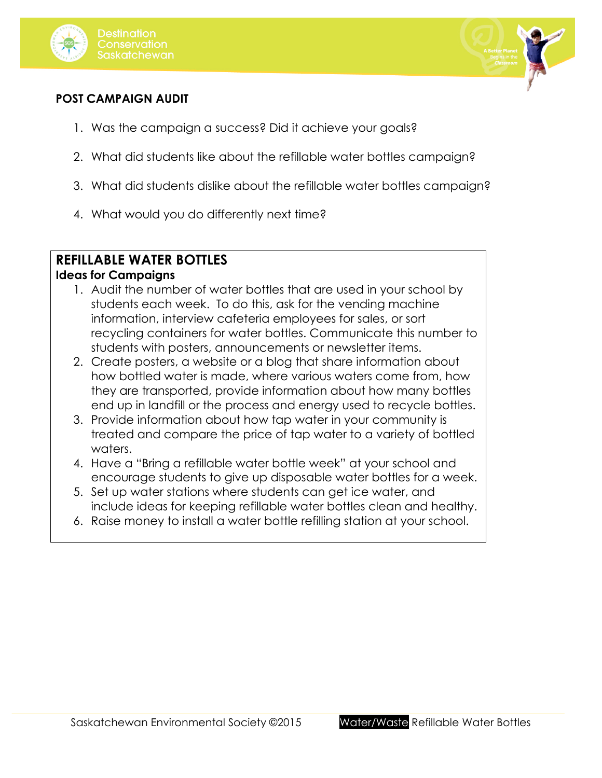



### **POST CAMPAIGN AUDIT**

- 1. Was the campaign a success? Did it achieve your goals?
- 2. What did students like about the refillable water bottles campaign?
- 3. What did students dislike about the refillable water bottles campaign?
- 4. What would you do differently next time?

## **REFILLABLE WATER BOTTLES**

#### **Ideas for Campaigns**

- 1. Audit the number of water bottles that are used in your school by students each week. To do this, ask for the vending machine information, interview cafeteria employees for sales, or sort recycling containers for water bottles. Communicate this number to students with posters, announcements or newsletter items.
- 2. Create posters, a website or a blog that share information about how bottled water is made, where various waters come from, how they are transported, provide information about how many bottles end up in landfill or the process and energy used to recycle bottles.
- 3. Provide information about how tap water in your community is treated and compare the price of tap water to a variety of bottled waters.
- 4. Have a "Bring a refillable water bottle week" at your school and encourage students to give up disposable water bottles for a week.
- 5. Set up water stations where students can get ice water, and include ideas for keeping refillable water bottles clean and healthy.
- 6. Raise money to install a water bottle refilling station at your school.